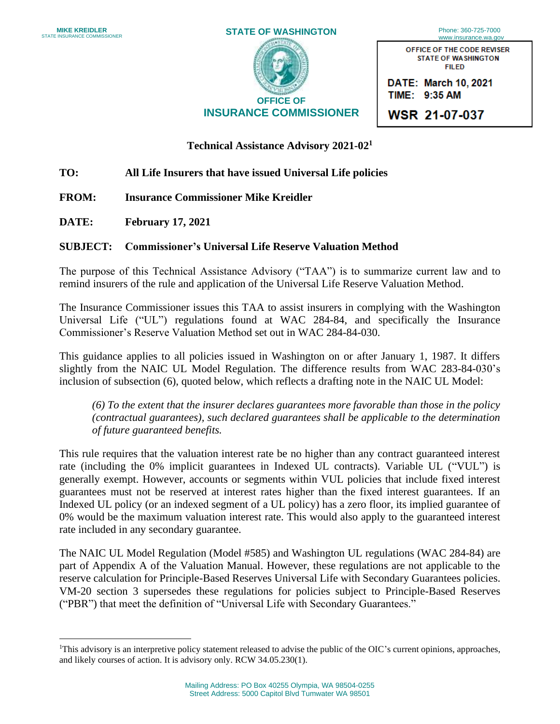

OFFICE OF THE CODE REVISER STATE OF WASHINGTON FILED

**DA TE: March 10, 2021 TIME: 9:35 AM** 

**WSR 21-07-037** 

## **Technical Assistance Advisory 2021-021**

## **TO: All Life Insurers that have issued Universal Life policies**

- **FROM: Insurance Commissioner Mike Kreidler**
- **DATE: February 17, 2021**

## **SUBJECT: Commissioner's Universal Life Reserve Valuation Method**

 The purpose of this Technical Assistance Advisory ("TAA") is to summarize current law and to remind insurers of the rule and application of the Universal Life Reserve Valuation Method.

 The Insurance Commissioner issues this TAA to assist insurers in complying with the Washington Universal Life ("UL") regulations found at WAC 284-84, and specifically the Insurance Commissioner's Reserve Valuation Method set out in WAC 284-84-030.

 This guidance applies to all policies issued in Washington on or after January 1, 1987. It differs slightly from the NAIC UL Model Regulation. The difference results from WAC 283-84-030's inclusion of subsection (6), quoted below, which reflects a drafting note in the NAIC UL Model:

 *(6) To the extent that the insurer declares guarantees more favorable than those in the policy (contractual guarantees), such declared guarantees shall be applicable to the determination of future guaranteed benefits.* 

 rate (including the 0% implicit guarantees in Indexed UL contracts). Variable UL ("VUL") is guarantees must not be reserved at interest rates higher than the fixed interest guarantees. If an Indexed UL policy (or an indexed segment of a UL policy) has a zero floor, its implied guarantee of 0% would be the maximum valuation interest rate. This would also apply to the guaranteed interest This rule requires that the valuation interest rate be no higher than any contract guaranteed interest generally exempt. However, accounts or segments within VUL policies that include fixed interest rate included in any secondary guarantee.

The NAIC UL Model Regulation (Model #585) and Washington UL regulations (WAC 284-84) are part of Appendix A of the Valuation Manual. However, these regulations are not applicable to the reserve calculation for Principle-Based Reserves Universal Life with Secondary Guarantees policies. VM-20 section 3 supersedes these regulations for policies subject to Principle-Based Reserves ("PBR") that meet the definition of "Universal Life with Secondary Guarantees."

<sup>&</sup>lt;sup>1</sup>This advisory is an interpretive policy statement released to advise the public of the OIC's current opinions, approaches, and likely courses of action. It is advisory only. RCW 34.05.230(1).